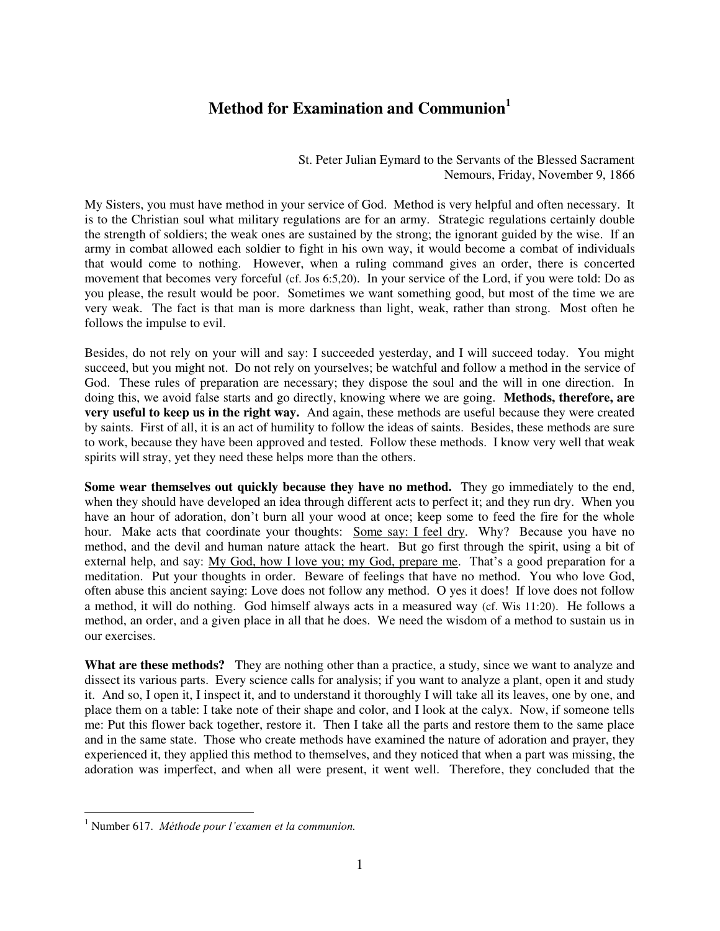## **Method for Examination and Communion<sup>1</sup>**

St. Peter Julian Eymard to the Servants of the Blessed Sacrament Nemours, Friday, November 9, 1866

My Sisters, you must have method in your service of God. Method is very helpful and often necessary. It is to the Christian soul what military regulations are for an army. Strategic regulations certainly double the strength of soldiers; the weak ones are sustained by the strong; the ignorant guided by the wise. If an army in combat allowed each soldier to fight in his own way, it would become a combat of individuals that would come to nothing. However, when a ruling command gives an order, there is concerted movement that becomes very forceful (cf. Jos 6:5,20). In your service of the Lord, if you were told: Do as you please, the result would be poor. Sometimes we want something good, but most of the time we are very weak. The fact is that man is more darkness than light, weak, rather than strong. Most often he follows the impulse to evil.

Besides, do not rely on your will and say: I succeeded yesterday, and I will succeed today. You might succeed, but you might not. Do not rely on yourselves; be watchful and follow a method in the service of God. These rules of preparation are necessary; they dispose the soul and the will in one direction. In doing this, we avoid false starts and go directly, knowing where we are going. **Methods, therefore, are very useful to keep us in the right way.** And again, these methods are useful because they were created by saints. First of all, it is an act of humility to follow the ideas of saints. Besides, these methods are sure to work, because they have been approved and tested. Follow these methods. I know very well that weak spirits will stray, yet they need these helps more than the others.

**Some wear themselves out quickly because they have no method.** They go immediately to the end, when they should have developed an idea through different acts to perfect it; and they run dry. When you have an hour of adoration, don't burn all your wood at once; keep some to feed the fire for the whole hour. Make acts that coordinate your thoughts: Some say: I feel dry. Why? Because you have no method, and the devil and human nature attack the heart. But go first through the spirit, using a bit of external help, and say: My God, how I love you; my God, prepare me. That's a good preparation for a meditation. Put your thoughts in order. Beware of feelings that have no method. You who love God, often abuse this ancient saying: Love does not follow any method. O yes it does! If love does not follow a method, it will do nothing. God himself always acts in a measured way (cf. Wis 11:20). He follows a method, an order, and a given place in all that he does. We need the wisdom of a method to sustain us in our exercises.

**What are these methods?** They are nothing other than a practice, a study, since we want to analyze and dissect its various parts. Every science calls for analysis; if you want to analyze a plant, open it and study it. And so, I open it, I inspect it, and to understand it thoroughly I will take all its leaves, one by one, and place them on a table: I take note of their shape and color, and I look at the calyx. Now, if someone tells me: Put this flower back together, restore it. Then I take all the parts and restore them to the same place and in the same state. Those who create methods have examined the nature of adoration and prayer, they experienced it, they applied this method to themselves, and they noticed that when a part was missing, the adoration was imperfect, and when all were present, it went well. Therefore, they concluded that the

 1 Number 617. *Méthode pour l'examen et la communion.*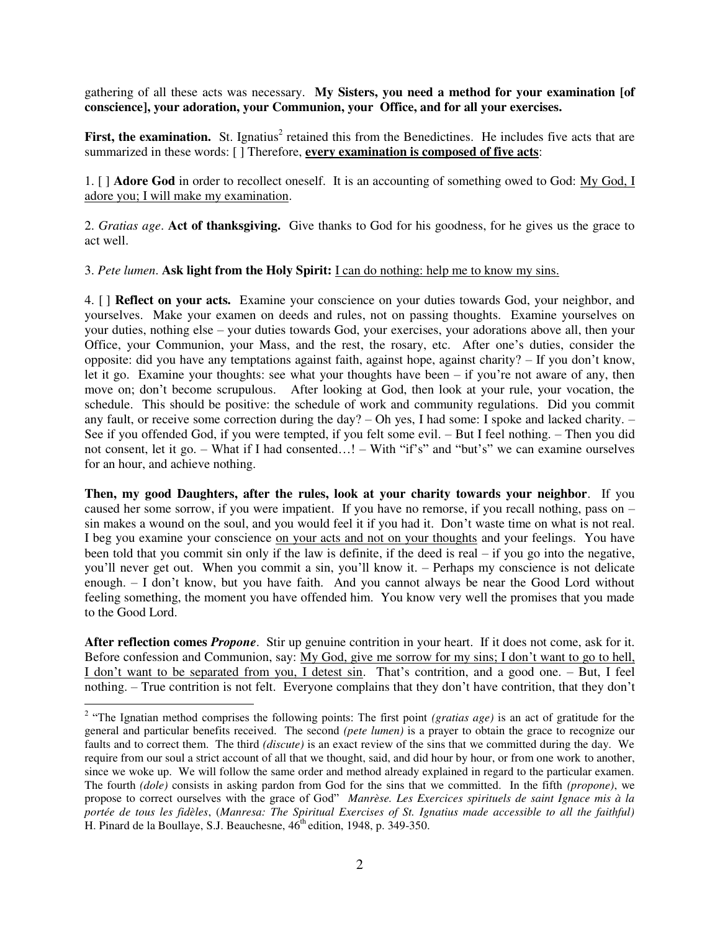gathering of all these acts was necessary. **My Sisters, you need a method for your examination [of conscience], your adoration, your Communion, your Office, and for all your exercises.** 

First, the examination. St. Ignatius<sup>2</sup> retained this from the Benedictines. He includes five acts that are summarized in these words: [ ] Therefore, **every examination is composed of five acts**:

1. [ ] **Adore God** in order to recollect oneself. It is an accounting of something owed to God: My God, I adore you; I will make my examination.

2. *Gratias age*. **Act of thanksgiving.** Give thanks to God for his goodness, for he gives us the grace to act well.

3. *Pete lumen*. **Ask light from the Holy Spirit:** I can do nothing: help me to know my sins.

4. [ ] **Reflect on your acts.** Examine your conscience on your duties towards God, your neighbor, and yourselves. Make your examen on deeds and rules, not on passing thoughts. Examine yourselves on your duties, nothing else – your duties towards God, your exercises, your adorations above all, then your Office, your Communion, your Mass, and the rest, the rosary, etc. After one's duties, consider the opposite: did you have any temptations against faith, against hope, against charity? – If you don't know, let it go. Examine your thoughts: see what your thoughts have been  $-$  if you're not aware of any, then move on; don't become scrupulous. After looking at God, then look at your rule, your vocation, the schedule. This should be positive: the schedule of work and community regulations. Did you commit any fault, or receive some correction during the day?  $-$  Oh yes, I had some: I spoke and lacked charity.  $-$ See if you offended God, if you were tempted, if you felt some evil. – But I feel nothing. – Then you did not consent, let it go. – What if I had consented…! – With "if's" and "but's" we can examine ourselves for an hour, and achieve nothing.

**Then, my good Daughters, after the rules, look at your charity towards your neighbor**. If you caused her some sorrow, if you were impatient. If you have no remorse, if you recall nothing, pass on – sin makes a wound on the soul, and you would feel it if you had it. Don't waste time on what is not real. I beg you examine your conscience on your acts and not on your thoughts and your feelings. You have been told that you commit sin only if the law is definite, if the deed is real – if you go into the negative, you'll never get out. When you commit a sin, you'll know it. – Perhaps my conscience is not delicate enough. – I don't know, but you have faith. And you cannot always be near the Good Lord without feeling something, the moment you have offended him. You know very well the promises that you made to the Good Lord.

**After reflection comes** *Propone*. Stir up genuine contrition in your heart. If it does not come, ask for it. Before confession and Communion, say: My God, give me sorrow for my sins; I don't want to go to hell, I don't want to be separated from you, I detest sin. That's contrition, and a good one. – But, I feel nothing. – True contrition is not felt. Everyone complains that they don't have contrition, that they don't

 $\overline{a}$ 

<sup>&</sup>lt;sup>2</sup> "The Ignatian method comprises the following points: The first point *(gratias age)* is an act of gratitude for the general and particular benefits received. The second *(pete lumen)* is a prayer to obtain the grace to recognize our faults and to correct them. The third *(discute)* is an exact review of the sins that we committed during the day. We require from our soul a strict account of all that we thought, said, and did hour by hour, or from one work to another, since we woke up. We will follow the same order and method already explained in regard to the particular examen. The fourth *(dole)* consists in asking pardon from God for the sins that we committed. In the fifth *(propone)*, we propose to correct ourselves with the grace of God" *Manrèse. Les Exercices spirituels de saint Ignace mis à la portée de tous les fidèles*, (*Manresa: The Spiritual Exercises of St. Ignatius made accessible to all the faithful)* H. Pinard de la Boullaye, S.J. Beauchesne,  $46^{th}$  edition, 1948, p. 349-350.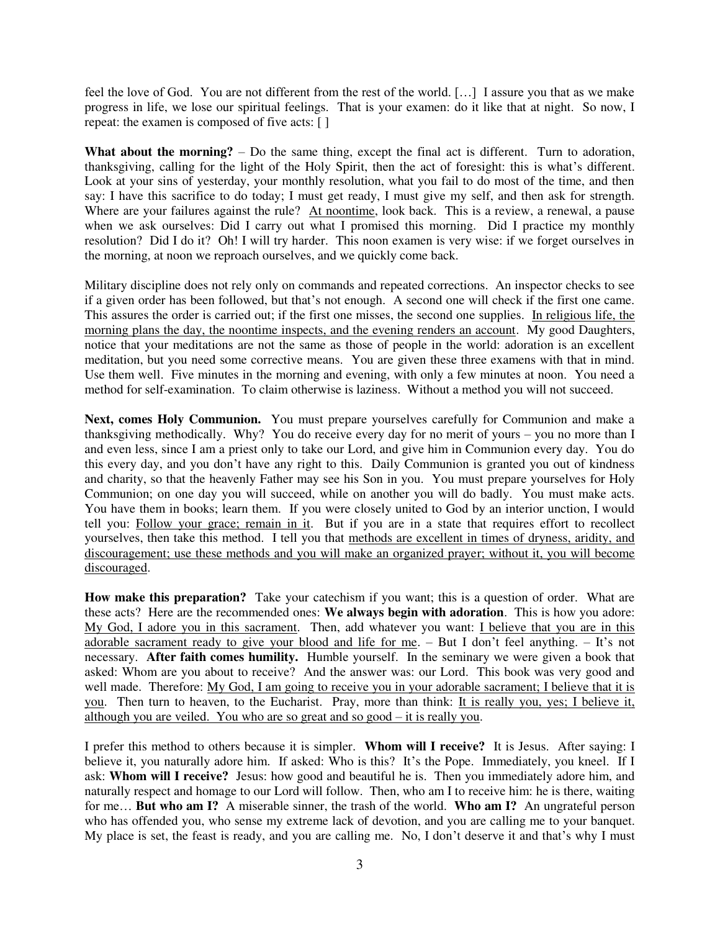feel the love of God. You are not different from the rest of the world. […] I assure you that as we make progress in life, we lose our spiritual feelings. That is your examen: do it like that at night. So now, I repeat: the examen is composed of five acts: [ ]

**What about the morning?** – Do the same thing, except the final act is different. Turn to adoration, thanksgiving, calling for the light of the Holy Spirit, then the act of foresight: this is what's different. Look at your sins of yesterday, your monthly resolution, what you fail to do most of the time, and then say: I have this sacrifice to do today; I must get ready, I must give my self, and then ask for strength. Where are your failures against the rule? At noontime, look back. This is a review, a renewal, a pause when we ask ourselves: Did I carry out what I promised this morning. Did I practice my monthly resolution? Did I do it? Oh! I will try harder. This noon examen is very wise: if we forget ourselves in the morning, at noon we reproach ourselves, and we quickly come back.

Military discipline does not rely only on commands and repeated corrections. An inspector checks to see if a given order has been followed, but that's not enough. A second one will check if the first one came. This assures the order is carried out; if the first one misses, the second one supplies. In religious life, the morning plans the day, the noontime inspects, and the evening renders an account. My good Daughters, notice that your meditations are not the same as those of people in the world: adoration is an excellent meditation, but you need some corrective means. You are given these three examens with that in mind. Use them well. Five minutes in the morning and evening, with only a few minutes at noon. You need a method for self-examination. To claim otherwise is laziness. Without a method you will not succeed.

Next, comes Holy Communion. You must prepare yourselves carefully for Communion and make a thanksgiving methodically. Why? You do receive every day for no merit of yours – you no more than I and even less, since I am a priest only to take our Lord, and give him in Communion every day. You do this every day, and you don't have any right to this. Daily Communion is granted you out of kindness and charity, so that the heavenly Father may see his Son in you. You must prepare yourselves for Holy Communion; on one day you will succeed, while on another you will do badly. You must make acts. You have them in books; learn them. If you were closely united to God by an interior unction, I would tell you: Follow your grace; remain in it. But if you are in a state that requires effort to recollect yourselves, then take this method. I tell you that methods are excellent in times of dryness, aridity, and discouragement; use these methods and you will make an organized prayer; without it, you will become discouraged.

**How make this preparation?** Take your catechism if you want; this is a question of order. What are these acts? Here are the recommended ones: **We always begin with adoration**. This is how you adore: My God, I adore you in this sacrament. Then, add whatever you want: I believe that you are in this adorable sacrament ready to give your blood and life for me. – But I don't feel anything. – It's not necessary. **After faith comes humility.** Humble yourself. In the seminary we were given a book that asked: Whom are you about to receive? And the answer was: our Lord. This book was very good and well made. Therefore: My God, I am going to receive you in your adorable sacrament; I believe that it is you. Then turn to heaven, to the Eucharist. Pray, more than think: It is really you, yes; I believe it, although you are veiled. You who are so great and so good – it is really you.

I prefer this method to others because it is simpler. **Whom will I receive?** It is Jesus. After saying: I believe it, you naturally adore him. If asked: Who is this? It's the Pope. Immediately, you kneel. If I ask: **Whom will I receive?** Jesus: how good and beautiful he is. Then you immediately adore him, and naturally respect and homage to our Lord will follow. Then, who am I to receive him: he is there, waiting for me… **But who am I?** A miserable sinner, the trash of the world. **Who am I?** An ungrateful person who has offended you, who sense my extreme lack of devotion, and you are calling me to your banquet. My place is set, the feast is ready, and you are calling me. No, I don't deserve it and that's why I must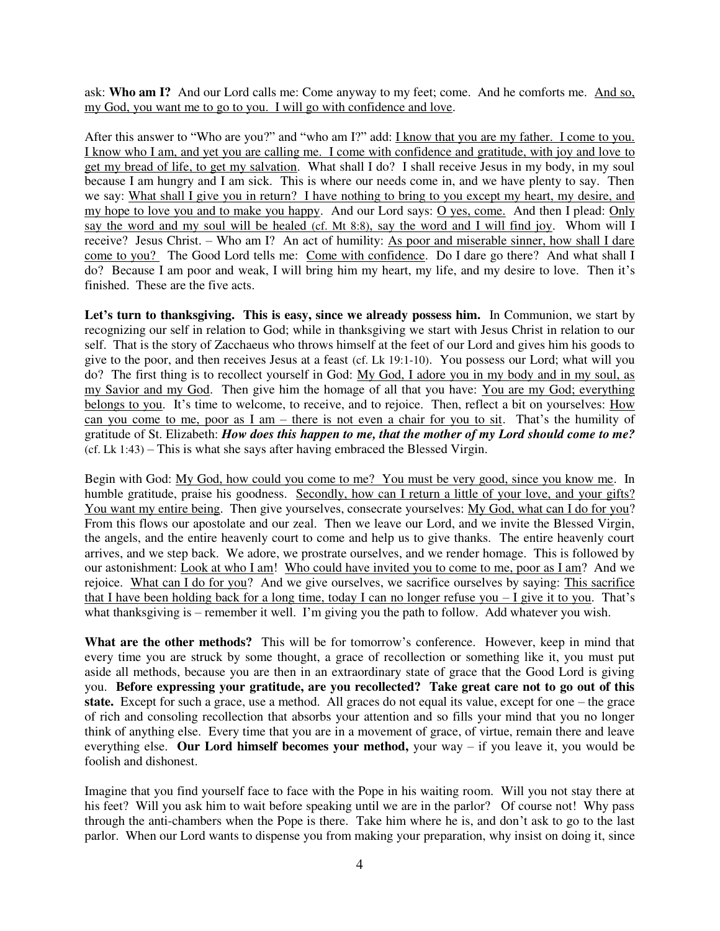ask: **Who am I?** And our Lord calls me: Come anyway to my feet; come. And he comforts me. And so, my God, you want me to go to you. I will go with confidence and love.

After this answer to "Who are you?" and "who am I?" add: I know that you are my father. I come to you. I know who I am, and yet you are calling me. I come with confidence and gratitude, with joy and love to get my bread of life, to get my salvation. What shall I do? I shall receive Jesus in my body, in my soul because I am hungry and I am sick. This is where our needs come in, and we have plenty to say. Then we say: What shall I give you in return? I have nothing to bring to you except my heart, my desire, and my hope to love you and to make you happy. And our Lord says: O yes, come. And then I plead: Only say the word and my soul will be healed (cf. Mt 8:8), say the word and I will find joy. Whom will I receive? Jesus Christ. – Who am I? An act of humility: As poor and miserable sinner, how shall I dare come to you? The Good Lord tells me: Come with confidence. Do I dare go there? And what shall I do? Because I am poor and weak, I will bring him my heart, my life, and my desire to love. Then it's finished. These are the five acts.

**Let's turn to thanksgiving. This is easy, since we already possess him.** In Communion, we start by recognizing our self in relation to God; while in thanksgiving we start with Jesus Christ in relation to our self. That is the story of Zacchaeus who throws himself at the feet of our Lord and gives him his goods to give to the poor, and then receives Jesus at a feast (cf. Lk 19:1-10). You possess our Lord; what will you do? The first thing is to recollect yourself in God: My God, I adore you in my body and in my soul, as my Savior and my God. Then give him the homage of all that you have: You are my God; everything belongs to you. It's time to welcome, to receive, and to rejoice. Then, reflect a bit on yourselves: How can you come to me, poor as I am – there is not even a chair for you to sit. That's the humility of gratitude of St. Elizabeth: *How does this happen to me, that the mother of my Lord should come to me?*  (cf. Lk 1:43) – This is what she says after having embraced the Blessed Virgin.

Begin with God: My God, how could you come to me? You must be very good, since you know me. In humble gratitude, praise his goodness. Secondly, how can I return a little of your love, and your gifts? You want my entire being. Then give yourselves, consecrate yourselves: My God, what can I do for you? From this flows our apostolate and our zeal. Then we leave our Lord, and we invite the Blessed Virgin, the angels, and the entire heavenly court to come and help us to give thanks. The entire heavenly court arrives, and we step back. We adore, we prostrate ourselves, and we render homage. This is followed by our astonishment: Look at who I am! Who could have invited you to come to me, poor as I am? And we rejoice. What can I do for you? And we give ourselves, we sacrifice ourselves by saying: This sacrifice that I have been holding back for a long time, today I can no longer refuse you  $-I$  give it to you. That's what thanksgiving is – remember it well. I'm giving you the path to follow. Add whatever you wish.

**What are the other methods?** This will be for tomorrow's conference. However, keep in mind that every time you are struck by some thought, a grace of recollection or something like it, you must put aside all methods, because you are then in an extraordinary state of grace that the Good Lord is giving you. **Before expressing your gratitude, are you recollected? Take great care not to go out of this state.** Except for such a grace, use a method. All graces do not equal its value, except for one – the grace of rich and consoling recollection that absorbs your attention and so fills your mind that you no longer think of anything else. Every time that you are in a movement of grace, of virtue, remain there and leave everything else. **Our Lord himself becomes your method,** your way – if you leave it, you would be foolish and dishonest.

Imagine that you find yourself face to face with the Pope in his waiting room. Will you not stay there at his feet? Will you ask him to wait before speaking until we are in the parlor? Of course not! Why pass through the anti-chambers when the Pope is there. Take him where he is, and don't ask to go to the last parlor. When our Lord wants to dispense you from making your preparation, why insist on doing it, since